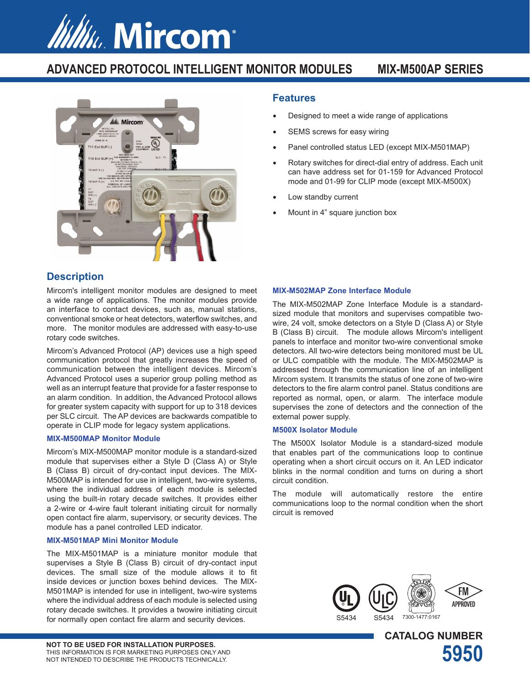# *Willu*. Mircom<sup>®</sup>

## **ADVANCED PROTOCOL INTELLIGENT MONITOR MODULES MIX-M500AP SERIES**



## **Description**

Mircom's intelligent monitor modules are designed to meet a wide range of applications. The monitor modules provide an interface to contact devices, such as, manual stations, conventional smoke or heat detectors, waterflow switches, and more. The monitor modules are addressed with easy-to-use rotary code switches.

Mircom's Advanced Protocol (AP) devices use a high speed communication protocol that greatly increases the speed of communication between the intelligent devices. Mircom's Advanced Protocol uses a superior group polling method as well as an interrupt feature that provide for a faster response to an alarm condition. In addition, the Advanced Protocol allows for greater system capacity with support for up to 318 devices per SLC circuit. The AP devices are backwards compatible to operate in CLIP mode for legacy system applications.

## **MIX-M500MAP Monitor Module**

Mircom's MIX-M500MAP monitor module is a standard-sized module that supervises either a Style D (Class A) or Style B (Class B) circuit of dry-contact input devices. The MIX-M500MAP is intended for use in intelligent, two-wire systems, where the individual address of each module is selected using the built-in rotary decade switches. It provides either a 2-wire or 4-wire fault tolerant initiating circuit for normally open contact fire alarm, supervisory, or security devices. The module has a panel controlled LED indicator.

## **MIX-M501MAP Mini Monitor Module**

The MIX-M501MAP is a miniature monitor module that supervises a Style B (Class B) circuit of dry-contact input devices. The small size of the module allows it to fit inside devices or junction boxes behind devices. The MIX-M501MAP is intended for use in intelligent, two-wire systems where the individual address of each module is selected using rotary decade switches. It provides a twowire initiating circuit for normally open contact fire alarm and security devices.

## **Features**

- Designed to meet a wide range of applications
- SEMS screws for easy wiring
- Panel controlled status LED (except MIX-M501MAP)
- Rotary switches for direct-dial entry of address. Each unit can have address set for 01-159 for Advanced Protocol mode and 01-99 for CLIP mode (except MIX-M500X)
- Low standby current
- Mount in 4" square junction box

## **MIX-M502MAP Zone Interface Module**

The MIX-M502MAP Zone Interface Module is a standardsized module that monitors and supervises compatible twowire, 24 volt, smoke detectors on a Style D (Class A) or Style B (Class B) circuit. The module allows Mircom's intelligent panels to interface and monitor two-wire conventional smoke detectors. All two-wire detectors being monitored must be UL or ULC compatible with the module. The MIX-M502MAP is addressed through the communication line of an intelligent Mircom system. It transmits the status of one zone of two-wire detectors to the fire alarm control panel. Status conditions are reported as normal, open, or alarm. The interface module supervises the zone of detectors and the connection of the external power supply.

## **M500X Isolator Module**

The M500X Isolator Module is a standard-sized module that enables part of the communications loop to continue operating when a short circuit occurs on it. An LED indicator blinks in the normal condition and turns on during a short circuit condition.

The module will automatically restore the entire communications loop to the normal condition when the short circuit is removed



**CATALOG NUMBER**